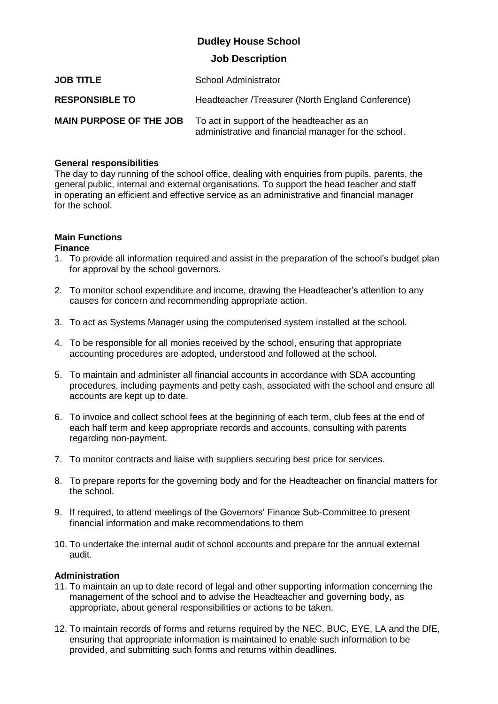## **Dudley House School**

### **Job Description**

| <b>JOB TITLE</b>               | School Administrator                                                                               |
|--------------------------------|----------------------------------------------------------------------------------------------------|
| <b>RESPONSIBLE TO</b>          | Headteacher /Treasurer (North England Conference)                                                  |
| <b>MAIN PURPOSE OF THE JOB</b> | To act in support of the headteacher as an<br>administrative and financial manager for the school. |

### **General responsibilities**

The day to day running of the school office, dealing with enquiries from pupils, parents, the general public, internal and external organisations. To support the head teacher and staff in operating an efficient and effective service as an administrative and financial manager for the school.

# **Main Functions**

### **Finance**

- 1. To provide all information required and assist in the preparation of the school's budget plan for approval by the school governors.
- 2. To monitor school expenditure and income, drawing the Headteacher's attention to any causes for concern and recommending appropriate action.
- 3. To act as Systems Manager using the computerised system installed at the school.
- 4. To be responsible for all monies received by the school, ensuring that appropriate accounting procedures are adopted, understood and followed at the school.
- 5. To maintain and administer all financial accounts in accordance with SDA accounting procedures, including payments and petty cash, associated with the school and ensure all accounts are kept up to date.
- 6. To invoice and collect school fees at the beginning of each term, club fees at the end of each half term and keep appropriate records and accounts, consulting with parents regarding non-payment.
- 7. To monitor contracts and liaise with suppliers securing best price for services.
- 8. To prepare reports for the governing body and for the Headteacher on financial matters for the school.
- 9. If required, to attend meetings of the Governors' Finance Sub-Committee to present financial information and make recommendations to them
- 10. To undertake the internal audit of school accounts and prepare for the annual external audit.

### **Administration**

- 11. To maintain an up to date record of legal and other supporting information concerning the management of the school and to advise the Headteacher and governing body, as appropriate, about general responsibilities or actions to be taken.
- 12. To maintain records of forms and returns required by the NEC, BUC, EYE, LA and the DfE, ensuring that appropriate information is maintained to enable such information to be provided, and submitting such forms and returns within deadlines.